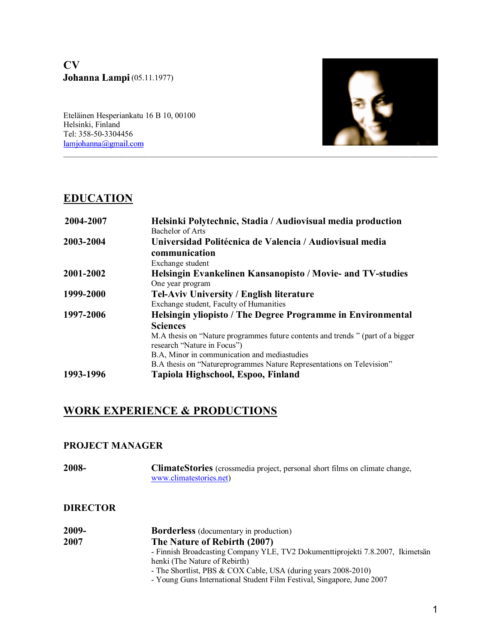**CV Johanna Lampi** (05.11.1977)

Eteläinen Hesperiankatu 16 B 10, 00100 Helsinki, Finland Tel: 358-50-3304456<br><u>lamjohanna@gmail.com</u>  $\mathcal{L}_\mathcal{L} = \{ \mathcal{L}_\mathcal{L} = \{ \mathcal{L}_\mathcal{L} = \{ \mathcal{L}_\mathcal{L} = \{ \mathcal{L}_\mathcal{L} = \{ \mathcal{L}_\mathcal{L} = \{ \mathcal{L}_\mathcal{L} = \{ \mathcal{L}_\mathcal{L} = \{ \mathcal{L}_\mathcal{L} = \{ \mathcal{L}_\mathcal{L} = \{ \mathcal{L}_\mathcal{L} = \{ \mathcal{L}_\mathcal{L} = \{ \mathcal{L}_\mathcal{L} = \{ \mathcal{L}_\mathcal{L} = \{ \mathcal{L}_\mathcal{$ 

# **EDUCATION**

| 2004-2007 | Helsinki Polytechnic, Stadia / Audiovisual media production<br>Bachelor of Arts                               |
|-----------|---------------------------------------------------------------------------------------------------------------|
| 2003-2004 | Universidad Politécnica de Valencia / Audiovisual media                                                       |
|           | communication                                                                                                 |
|           | Exchange student                                                                                              |
| 2001-2002 | <b>Helsingin Evankelinen Kansanopisto / Movie- and TV-studies</b>                                             |
|           | One year program                                                                                              |
| 1999-2000 | <b>Tel-Aviv University / English literature</b>                                                               |
|           | Exchange student, Faculty of Humanities                                                                       |
| 1997-2006 | Helsingin yliopisto / The Degree Programme in Environmental                                                   |
|           | <b>Sciences</b>                                                                                               |
|           | M.A thesis on "Nature programmes future contents and trends" (part of a bigger<br>research "Nature in Focus") |
|           | B.A, Minor in communication and mediastudies                                                                  |
|           | B.A thesis on "Nature programmes Nature Representations on Television"                                        |
| 1993-1996 | Tapiola Highschool, Espoo, Finland                                                                            |

# **WORK EXPERIENCE & PRODUCTIONS**

## **PROJECT MANAGER**

**2008- ClimateStories** (crossmedia project, personal short films on climate change, www.climatestories.net)

## **DIRECTOR**

| 2009- | <b>Borderless</b> (documentary in production)                                  |
|-------|--------------------------------------------------------------------------------|
| 2007  | The Nature of Rebirth (2007)                                                   |
|       | - Finnish Broadcasting Company YLE, TV2 Dokumenttiprojekti 7.8.2007, Ikimetsän |
|       | henki (The Nature of Rebirth)                                                  |
|       | - The Shortlist, PBS & COX Cable, USA (during years 2008-2010)                 |
|       | - Young Guns International Student Film Festival, Singapore, June 2007         |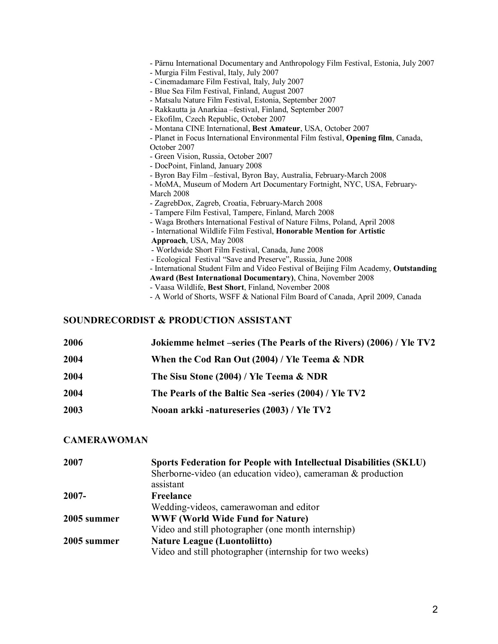- Pärnu International Documentary and Anthropology Film Festival, Estonia, July 2007 - Murgia Film Festival, Italy, July 2007 - Cinemadamare Film Festival, Italy, July 2007 - Blue Sea Film Festival, Finland, August 2007 - Matsalu Nature Film Festival, Estonia, September 2007 - Rakkautta ja Anarkiaa –festival, Finland, September 2007 - Ekofilm, Czech Republic, October 2007 - Montana CINE International, **Best Amateur**, USA, October 2007 - Planet in Focus International Environmental Film festival, **Opening film**, Canada, October 2007 - Green Vision, Russia, October 2007 - DocPoint, Finland, January 2008 - Byron Bay Film –festival, Byron Bay, Australia, February-March 2008 - MoMA, Museum of Modern Art Documentary Fortnight, NYC, USA, February-March 2008 - ZagrebDox, Zagreb, Croatia, February-March 2008 - Tampere Film Festival, Tampere, Finland, March 2008 - Waga Brothers International Festival of Nature Films, Poland, April 2008 - International Wildlife Film Festival, **Honorable Mention for Artistic Approach**, USA, May 2008 - Worldwide Short Film Festival, Canada, June 2008 - Ecological Festival "Save and Preserve", Russia, June 2008 - International Student Film and Video Festival of Beijing Film Academy, **Outstanding Award (Best International Documentary)**, China, November 2008 - Vaasa Wildlife, **Best Short**, Finland, November 2008

- A World of Shorts, WSFF & National Film Board of Canada, April 2009, Canada

#### **SOUNDRECORDIST & PRODUCTION ASSISTANT**

| 2006 | Jokiemme helmet –series (The Pearls of the Rivers) (2006) / Yle TV2 |
|------|---------------------------------------------------------------------|
| 2004 | When the Cod Ran Out (2004) / Yle Teema & NDR                       |
| 2004 | The Sisu Stone (2004) / Yle Teema & NDR                             |
| 2004 | The Pearls of the Baltic Sea -series (2004) / Yle TV2               |
| 2003 | Nooan arkki -natureseries (2003) / Yle TV2                          |
|      |                                                                     |

#### **CAMERAWOMAN**

| 2007        | Sports Federation for People with Intellectual Disabilities (SKLU)<br>Sherborne-video (an education video), cameraman $\&$ production |
|-------------|---------------------------------------------------------------------------------------------------------------------------------------|
|             | assistant                                                                                                                             |
| $2007 -$    | Freelance                                                                                                                             |
|             | Wedding-videos, camerawoman and editor                                                                                                |
| 2005 summer | <b>WWF (World Wide Fund for Nature)</b>                                                                                               |
|             | Video and still photographer (one month internship)                                                                                   |
| 2005 summer | <b>Nature League (Luontoliitto)</b>                                                                                                   |
|             | Video and still photographer (internship for two weeks)                                                                               |